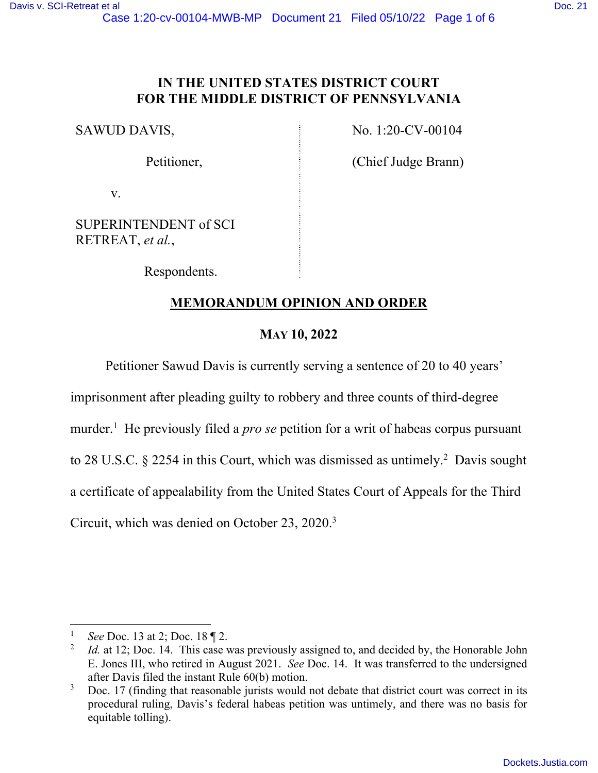## **IN THE UNITED STATES DISTRICT COURT FOR THE MIDDLE DISTRICT OF PENNSYLVANIA**

SAWUD DAVIS,

Petitioner,

No. 1:20-CV-00104

(Chief Judge Brann)

v.

SUPERINTENDENT of SCI RETREAT, *et al.*,

Respondents.

## **MEMORANDUM OPINION AND ORDER**

## **MAY 10, 2022**

Petitioner Sawud Davis is currently serving a sentence of 20 to 40 years'

imprisonment after pleading guilty to robbery and three counts of third-degree

murder.<sup>1</sup> He previously filed a *pro se* petition for a writ of habeas corpus pursuant

to 28 U.S.C.  $\S$  2254 in this Court, which was dismissed as untimely.<sup>2</sup> Davis sought

a certificate of appealability from the United States Court of Appeals for the Third

Circuit, which was denied on October 23, 2020.<sup>3</sup>

<sup>1</sup> *See* Doc. 13 at 2; Doc. 18 ¶ 2.

<sup>2</sup> *Id.* at 12; Doc. 14. This case was previously assigned to, and decided by, the Honorable John E. Jones III, who retired in August 2021. *See* Doc. 14. It was transferred to the undersigned after Davis filed the instant Rule 60(b) motion.

<sup>3</sup> Doc. 17 (finding that reasonable jurists would not debate that district court was correct in its procedural ruling, Davis's federal habeas petition was untimely, and there was no basis for equitable tolling).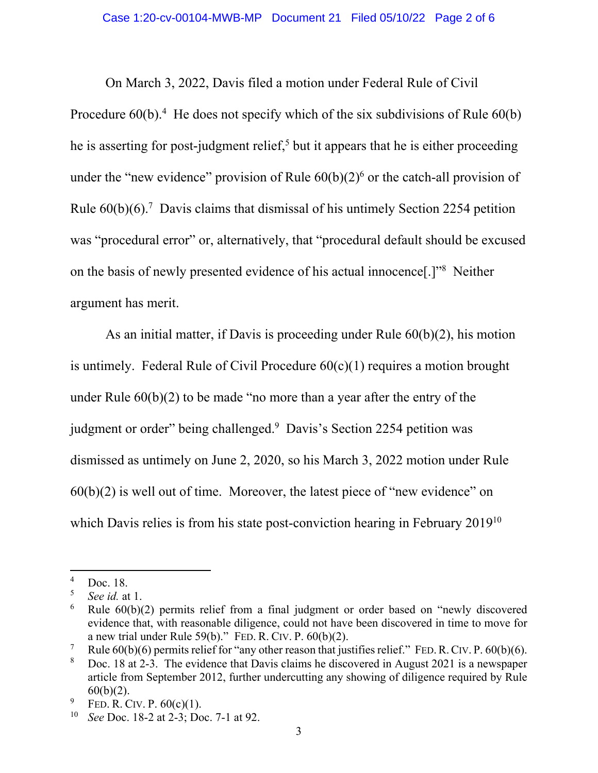On March 3, 2022, Davis filed a motion under Federal Rule of Civil Procedure  $60(b)$ .<sup>4</sup> He does not specify which of the six subdivisions of Rule  $60(b)$ he is asserting for post-judgment relief,<sup>5</sup> but it appears that he is either proceeding under the "new evidence" provision of Rule  $60(b)(2)^6$  or the catch-all provision of Rule  $60(b)(6)$ .<sup>7</sup> Davis claims that dismissal of his untimely Section 2254 petition was "procedural error" or, alternatively, that "procedural default should be excused on the basis of newly presented evidence of his actual innocence[.]"<sup>8</sup> Neither argument has merit.

As an initial matter, if Davis is proceeding under Rule 60(b)(2), his motion is untimely. Federal Rule of Civil Procedure 60(c)(1) requires a motion brought under Rule  $60(b)(2)$  to be made "no more than a year after the entry of the judgment or order" being challenged.<sup>9</sup> Davis's Section 2254 petition was dismissed as untimely on June 2, 2020, so his March 3, 2022 motion under Rule  $60(b)(2)$  is well out of time. Moreover, the latest piece of "new evidence" on which Davis relies is from his state post-conviction hearing in February 2019<sup>10</sup>

<sup>4</sup> Doc. 18.

<sup>5</sup> *See id.* at 1.

<sup>6</sup> Rule 60(b)(2) permits relief from a final judgment or order based on "newly discovered evidence that, with reasonable diligence, could not have been discovered in time to move for a new trial under Rule  $59(b)$ ." FED. R. CIV. P.  $60(b)(2)$ .

<sup>7</sup> Rule 60(b)(6) permits relief for "any other reason that justifies relief." FED.R.CIV. P. 60(b)(6).

<sup>8</sup> Doc. 18 at 2-3. The evidence that Davis claims he discovered in August 2021 is a newspaper article from September 2012, further undercutting any showing of diligence required by Rule  $60(b)(2)$ .

<sup>9</sup> FED. R. CIV. P. 60(c)(1).

<sup>10</sup> *See* Doc. 18-2 at 2-3; Doc. 7-1 at 92.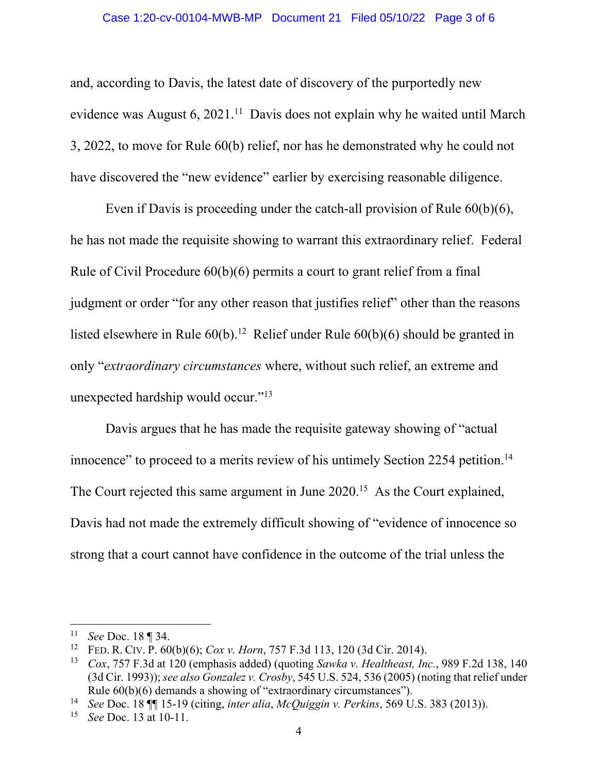and, according to Davis, the latest date of discovery of the purportedly new evidence was August 6, 2021.<sup>11</sup> Davis does not explain why he waited until March 3, 2022, to move for Rule 60(b) relief, nor has he demonstrated why he could not have discovered the "new evidence" earlier by exercising reasonable diligence.

Even if Davis is proceeding under the catch-all provision of Rule 60(b)(6), he has not made the requisite showing to warrant this extraordinary relief. Federal Rule of Civil Procedure 60(b)(6) permits a court to grant relief from a final judgment or order "for any other reason that justifies relief" other than the reasons listed elsewhere in Rule  $60(b)$ .<sup>12</sup> Relief under Rule  $60(b)(6)$  should be granted in only "*extraordinary circumstances* where, without such relief, an extreme and unexpected hardship would occur."<sup>13</sup>

Davis argues that he has made the requisite gateway showing of "actual innocence" to proceed to a merits review of his untimely Section 2254 petition.<sup>14</sup> The Court rejected this same argument in June 2020.<sup>15</sup> As the Court explained, Davis had not made the extremely difficult showing of "evidence of innocence so strong that a court cannot have confidence in the outcome of the trial unless the

<sup>11</sup> *See* Doc. 18 ¶ 34.

<sup>12</sup> FED. R. CIV. P. 60(b)(6); *Cox v. Horn*, 757 F.3d 113, 120 (3d Cir. 2014).

<sup>13</sup> *Cox*, 757 F.3d at 120 (emphasis added) (quoting *Sawka v. Healtheast, Inc.*, 989 F.2d 138, 140 (3d Cir. 1993)); *see also Gonzalez v. Crosby*, 545 U.S. 524, 536 (2005) (noting that relief under Rule 60(b)(6) demands a showing of "extraordinary circumstances").

<sup>14</sup> *See* Doc. 18 ¶¶ 15-19 (citing, *inter alia*, *McQuiggin v. Perkins*, 569 U.S. 383 (2013)).

<sup>15</sup> *See* Doc. 13 at 10-11.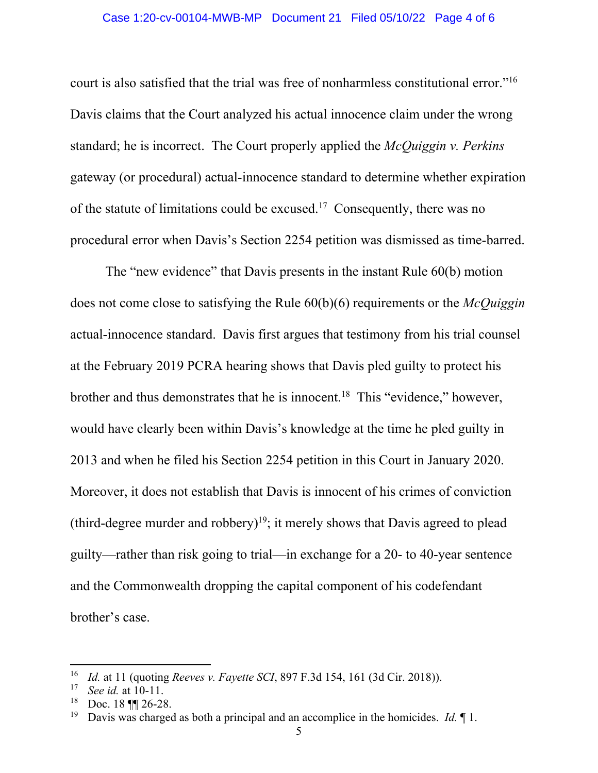court is also satisfied that the trial was free of nonharmless constitutional error."<sup>16</sup> Davis claims that the Court analyzed his actual innocence claim under the wrong standard; he is incorrect. The Court properly applied the *McQuiggin v. Perkins* gateway (or procedural) actual-innocence standard to determine whether expiration of the statute of limitations could be excused.<sup>17</sup> Consequently, there was no procedural error when Davis's Section 2254 petition was dismissed as time-barred.

The "new evidence" that Davis presents in the instant Rule 60(b) motion does not come close to satisfying the Rule 60(b)(6) requirements or the *McQuiggin*  actual-innocence standard. Davis first argues that testimony from his trial counsel at the February 2019 PCRA hearing shows that Davis pled guilty to protect his brother and thus demonstrates that he is innocent.<sup>18</sup> This "evidence," however, would have clearly been within Davis's knowledge at the time he pled guilty in 2013 and when he filed his Section 2254 petition in this Court in January 2020. Moreover, it does not establish that Davis is innocent of his crimes of conviction (third-degree murder and robbery)<sup>19</sup>; it merely shows that Davis agreed to plead guilty—rather than risk going to trial—in exchange for a 20- to 40-year sentence and the Commonwealth dropping the capital component of his codefendant brother's case.

<sup>16</sup> *Id.* at 11 (quoting *Reeves v. Fayette SCI*, 897 F.3d 154, 161 (3d Cir. 2018)).

<sup>17</sup> <sup>17</sup> *See id.* at 10-11.<br><sup>18</sup> Doc. 18 **II** 26-28

<sup>&</sup>lt;sup>18</sup> Doc. 18  $\P$  26-28.

Davis was charged as both a principal and an accomplice in the homicides. *Id.* 1.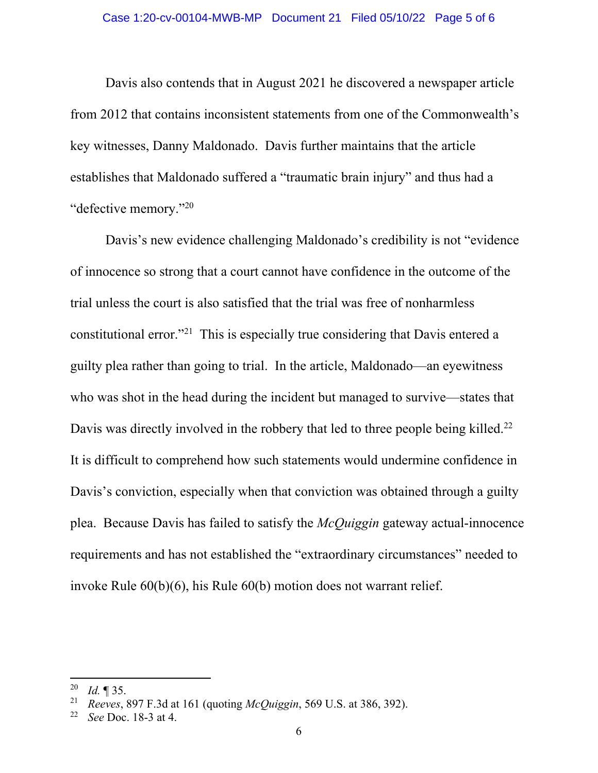Davis also contends that in August 2021 he discovered a newspaper article from 2012 that contains inconsistent statements from one of the Commonwealth's key witnesses, Danny Maldonado. Davis further maintains that the article establishes that Maldonado suffered a "traumatic brain injury" and thus had a "defective memory."<sup>20</sup>

Davis's new evidence challenging Maldonado's credibility is not "evidence of innocence so strong that a court cannot have confidence in the outcome of the trial unless the court is also satisfied that the trial was free of nonharmless constitutional error."<sup>21</sup> This is especially true considering that Davis entered a guilty plea rather than going to trial. In the article, Maldonado—an eyewitness who was shot in the head during the incident but managed to survive—states that Davis was directly involved in the robbery that led to three people being killed.<sup>22</sup> It is difficult to comprehend how such statements would undermine confidence in Davis's conviction, especially when that conviction was obtained through a guilty plea. Because Davis has failed to satisfy the *McQuiggin* gateway actual-innocence requirements and has not established the "extraordinary circumstances" needed to invoke Rule 60(b)(6), his Rule 60(b) motion does not warrant relief.

<sup>20</sup> *Id.* ¶ 35.

<sup>21</sup> *Reeves*, 897 F.3d at 161 (quoting *McQuiggin*, 569 U.S. at 386, 392).

<sup>22</sup> *See* Doc. 18-3 at 4.